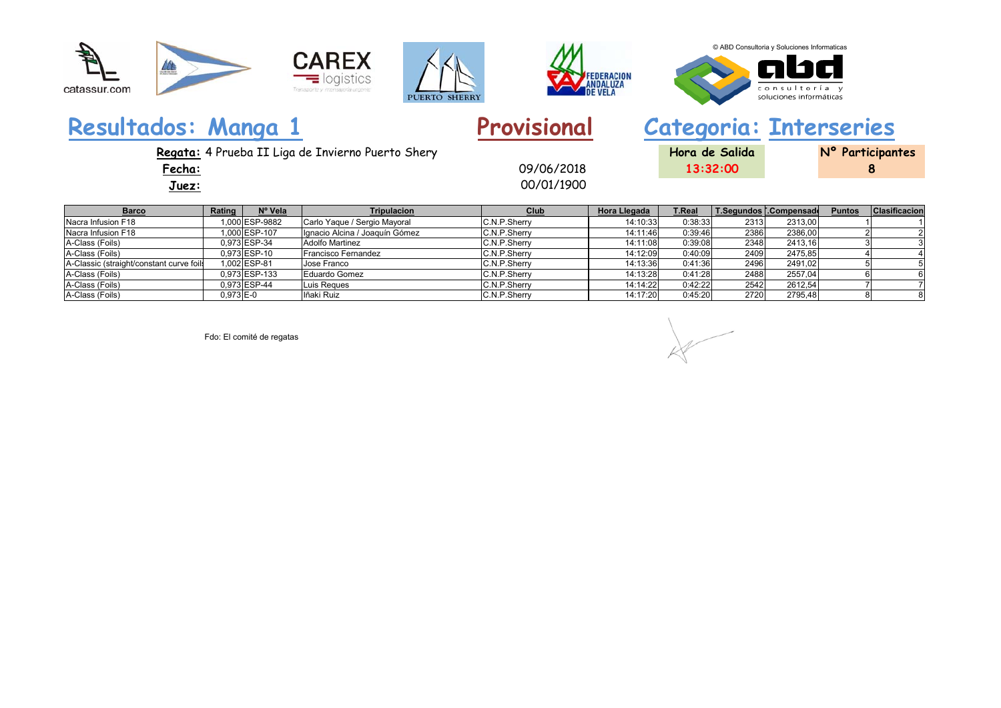





© ABD Consultoria y Soluciones Informaticas

consultoría y soluciones informáticas

**8**

# **Resultados: Manga 1 Provisional Categoria: Interseries**

09/06/2018

00/01/1900

**Regata:** 4 Prueba II Liga de Invierno Puerto Shery **Hora de Salida Nº Participantes**

**Fecha:**

**Juez:**

| Rating                                   | Nº Vela | <b>Tripulacion</b>                                                                                                          | Club                                                     | Hora Llegada                                                                                                                 | <b>T.Real</b> |                                                                                                   | <b>Puntos</b>                        | <b>Clasificacion</b>    |
|------------------------------------------|---------|-----------------------------------------------------------------------------------------------------------------------------|----------------------------------------------------------|------------------------------------------------------------------------------------------------------------------------------|---------------|---------------------------------------------------------------------------------------------------|--------------------------------------|-------------------------|
|                                          |         | Carlo Yaque / Sergio Mayoral                                                                                                |                                                          | 14:10:33                                                                                                                     |               | 2313.00                                                                                           |                                      |                         |
|                                          |         |                                                                                                                             |                                                          | 14:11:46                                                                                                                     |               | 2386,00                                                                                           |                                      |                         |
|                                          |         |                                                                                                                             |                                                          | 14:11:08                                                                                                                     |               | 2413.16                                                                                           |                                      |                         |
|                                          |         | Francisco Fernandez                                                                                                         |                                                          | 14:12:09                                                                                                                     |               | 2475.85                                                                                           |                                      |                         |
|                                          |         | Jose Franco                                                                                                                 |                                                          | 14:13:36                                                                                                                     |               | 2491.02                                                                                           |                                      |                         |
|                                          |         | Eduardo Gomez                                                                                                               |                                                          | 14:13:28                                                                                                                     |               | 2557,04                                                                                           |                                      |                         |
|                                          |         | Luis Regues                                                                                                                 |                                                          | 14:14:22                                                                                                                     | 0:42:22       | 2612.54                                                                                           |                                      |                         |
|                                          |         | lñaki Ruiz                                                                                                                  |                                                          | 14:17:20                                                                                                                     |               | 2795,48                                                                                           |                                      |                         |
| A-Classic (straight/constant curve foils |         | 000 ESP-9882<br>000 ESP-107<br>0.973 ESP-34<br>0,973 ESP-10<br>1.002 ESP-81<br>0.973 ESP-133<br>0.973 ESP-44<br>$0,973$ E-0 | Ignacio Alcina / Joaquín Gómez<br><b>Adolfo Martinez</b> | C.N.P.Sherry<br>C.N.P.Sherry<br>C.N.P.Sherry<br>C.N.P.Sherry<br>C.N.P.Sherry<br>C.N.P.Sherry<br>C.N.P.Sherry<br>C.N.P.Sherry |               | 0:38:33<br>2313<br>0:39:46<br>0:39:08<br>0:40:09<br>0:41:36<br>0:41:28<br>2488<br>2542<br>0:45:20 | 2386<br>2348<br>2409<br>2496<br>2720 | T.Segundos [.Compensade |

Fdo: El comité de regatas

**13:32:00**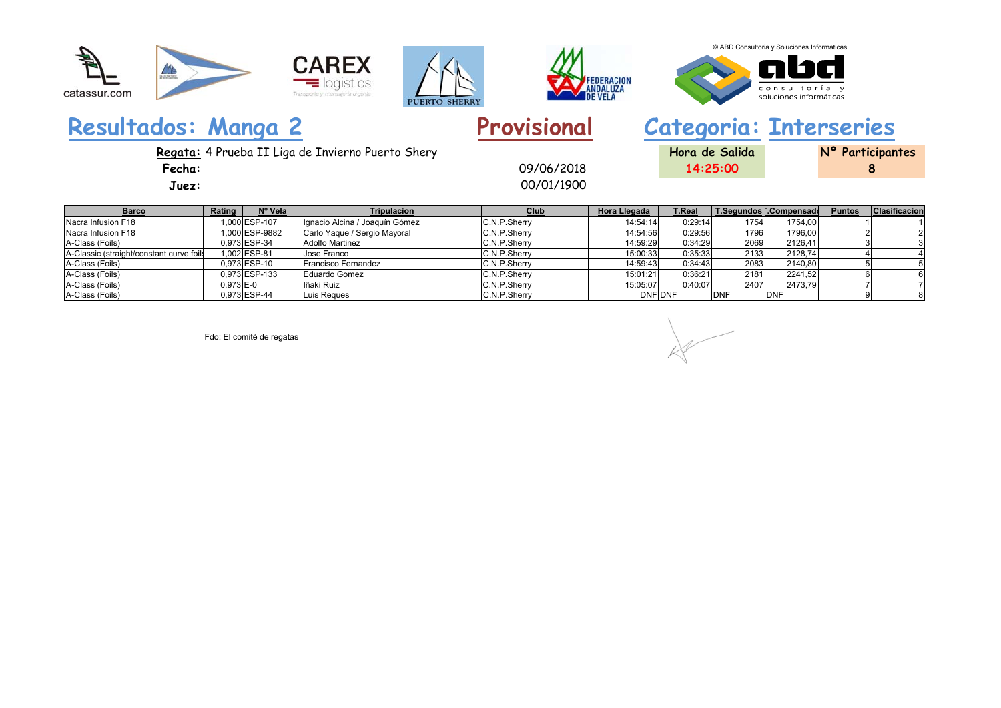







#### © ABD Consultoria y Soluciones Informaticas



**8**

## **Resultados: Manga 2 Provisional Categoria: Interseries**

00/01/1900 09/06/2018

**Regata:** 4 Prueba II Liga de Invierno Puerto Shery **Hora de Salida Nº Participantes**

**Fecha:**

**Juez:**

| <b>Barco</b>                             | Rating      | Nº Vela       | <b>Tripulacion</b>             | Club         | Hora Llegada   | <b>T.Real</b> |            | T.Segundos [.Compensade | <b>Puntos</b> | <b>Clasificacion</b> |
|------------------------------------------|-------------|---------------|--------------------------------|--------------|----------------|---------------|------------|-------------------------|---------------|----------------------|
| Nacra Infusion F18                       |             | 1.000 ESP-107 | Ignacio Alcina / Joaquín Gómez | C.N.P.Sherry | 14:54:14       | 0:29:14       | 1754       | 1754,00                 |               |                      |
| Nacra Infusion F18                       |             | .000 ESP-9882 | Carlo Yaque / Sergio Mayoral   | C.N.P.Sherry | 14:54:56       | 0:29:56       | 1796       | 1796,00                 |               |                      |
| A-Class (Foils)                          |             | 0.973 ESP-34  | <b>Adolfo Martinez</b>         | C.N.P.Sherry | 14:59:29       | 0:34:29       | 2069       | 2126,41                 |               |                      |
| A-Classic (straight/constant curve foils |             | 1.002 ESP-81  | Jose Franco                    | C.N.P.Sherry | 15:00:33       | 0:35:33       | 2133       | 2128.74                 |               |                      |
| A-Class (Foils)                          |             | 0.973 ESP-10  | Francisco Fernandez            | C.N.P.Sherry | 14:59:43       | 0:34:43       | 2083       | 2140,80                 |               |                      |
| A-Class (Foils)                          |             | 0,973 ESP-133 | Eduardo Gomez                  | C.N.P.Sherry | 15:01:21       | 0:36:21       | 2181       | 2241.52                 |               |                      |
| A-Class (Foils)                          | $0,973$ E-0 |               | Iñaki Ruiz                     | C.N.P.Sherry | 15:05:07       | 0:40:07       | 2407       | 2473,79                 |               |                      |
| A-Class (Foils)                          |             | 0.973 ESP-44  | Luis Reques                    | C.N.P.Sherry | <b>DNF DNF</b> |               | <b>DNF</b> | <b>DNF</b>              |               |                      |

Fdo: El comité de regatas

**14:25:00**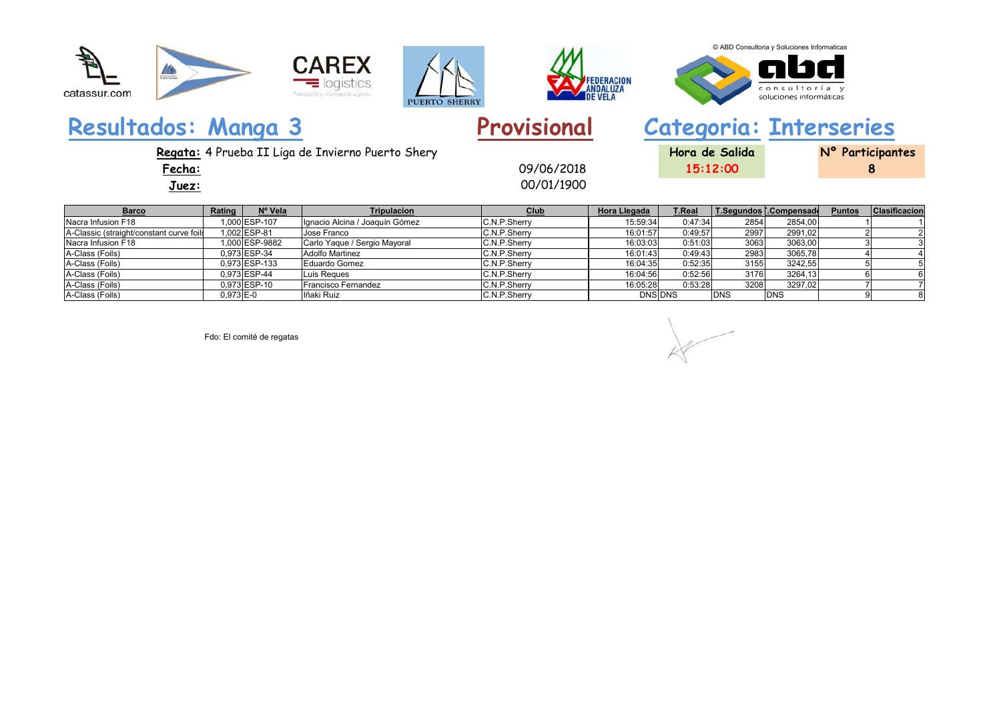









**8**

## **Resultados: Manga 3 Provisional Categoria: Interseries**

00/01/1900 09/06/2018

**Regata:** 4 Prueba II Liga de Invierno Puerto Shery **Hora de Salida Nº Participantes**

**Fecha:**

**Juez:**

| <b>Barco</b>                             | Rating    | Nº Vela       | <b>Tripulacion</b>             | Club         | <b>Hora Llegada</b> | <b>T.Real</b> |             | T.Segundos [.Compensade] | <b>Puntos</b> | Clasificacion |
|------------------------------------------|-----------|---------------|--------------------------------|--------------|---------------------|---------------|-------------|--------------------------|---------------|---------------|
| Nacra Infusion F18                       |           | 000 ESP-107   | Ignacio Alcina / Joaquín Gómez | C.N.P.Sherry | 15:59:34            | 0:47:34       | 2854        | 2854,00                  |               |               |
| A-Classic (straight/constant curve foils |           | 1.002 ESP-81  | Jose Franco                    | C.N.P.Sherry | 16:01:57            | 0:49:57       | 2997        | 2991.02                  |               |               |
| Nacra Infusion F18                       |           | 000ESP-9882   | Carlo Yaque / Sergio Mayoral   | C.N.P.Sherry | 16:03:03            | 0:51:03       | 3063        | 3063,00                  |               |               |
| A-Class (Foils)                          |           | 0.973 ESP-34  | <b>Adolfo Martinez</b>         | C.N.P.Sherry | 16:01:43            | 0:49:43       | 2983        | 3065.78                  |               |               |
| A-Class (Foils)                          |           | 0.973 ESP-133 | Eduardo Gomez                  | C.N.P.Sherry | 16:04:35            | 0:52:35       | 3155        | 3242,55                  |               |               |
| A-Class (Foils)                          |           | 0.973 ESP-44  | Luis Reques                    | C.N.P.Sherry | 16:04:56            | 0:52:56       | 3176        | 3264,13                  |               |               |
| A-Class (Foils)                          |           | 0,973 ESP-10  | Francisco Fernandez            | C.N.P.Sherry | 16:05:28            | 0:53:28       | 3208        | 3297,02                  |               |               |
| A-Class (Foils)                          | 0,973 E-0 |               | lñaki Ruiz                     | C.N.P.Sherry | <b>DNS DNS</b>      |               | <b>IDNS</b> | <b>DNS</b>               |               |               |

Fdo: El comité de regatas

**15:12:00**